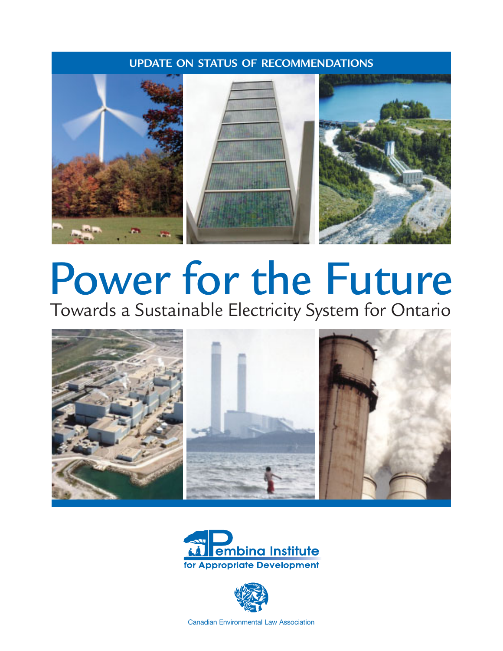### **UPDATE ON STATUS OF RECOMMENDATIONS**



# Power for the Future

Towards a Sustainable Electricity System for Ontario







Canadian Environmental Law Association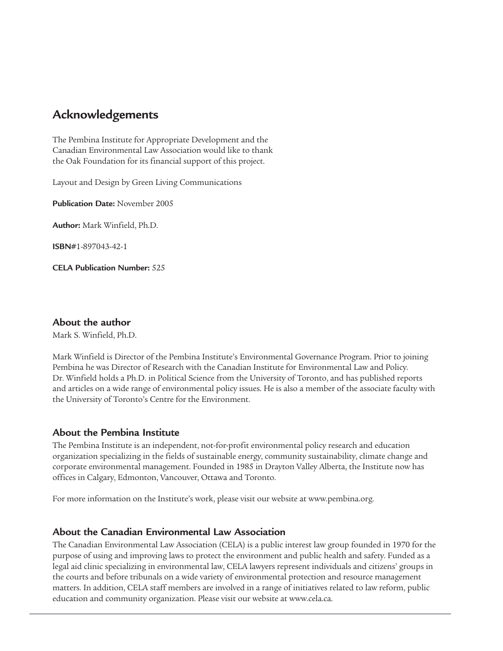### **Acknowledgements**

The Pembina Institute for Appropriate Development and the Canadian Environmental Law Association would like to thank the Oak Foundation for its financial support of this project.

Layout and Design by Green Living Communications

**Publication Date:** November 2005

**Author:** Mark Winfield, Ph.D.

**ISBN#**1-897043-42-1

**CELA Publication Number:** 525

### **About the author**

Mark S. Winfield, Ph.D.

Mark Winfield is Director of the Pembina Institute's Environmental Governance Program. Prior to joining Pembina he was Director of Research with the Canadian Institute for Environmental Law and Policy. Dr. Winfield holds a Ph.D. in Political Science from the University of Toronto, and has published reports and articles on a wide range of environmental policy issues. He is also a member of the associate faculty with the University of Toronto's Centre for the Environment.

### **About the Pembina Institute**

The Pembina Institute is an independent, not-for-profit environmental policy research and education organization specializing in the fields of sustainable energy, community sustainability, climate change and corporate environmental management. Founded in 1985 in Drayton Valley Alberta, the Institute now has offices in Calgary, Edmonton, Vancouver, Ottawa and Toronto.

For more information on the Institute's work, please visit our website at www.pembina.org.

### **About the Canadian Environmental Law Association**

The Canadian Environmental Law Association (CELA) is a public interest law group founded in 1970 for the purpose of using and improving laws to protect the environment and public health and safety. Funded as a legal aid clinic specializing in environmental law, CELA lawyers represent individuals and citizens' groups in the courts and before tribunals on a wide variety of environmental protection and resource management matters. In addition, CELA staff members are involved in a range of initiatives related to law reform, public education and community organization. Please visit our website at www.cela.ca.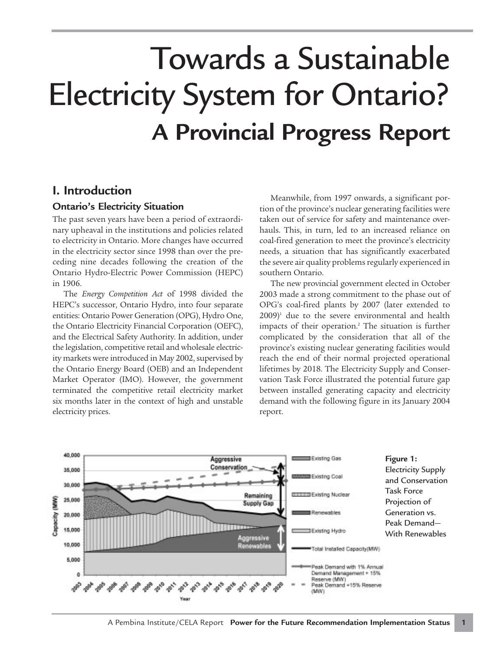## Towards a Sustainable Electricity System for Ontario? **A Provincial Progress Report**

### **I. Introduction**

### **Ontario's Electricity Situation**

The past seven years have been a period of extraordinary upheaval in the institutions and policies related to electricity in Ontario. More changes have occurred in the electricity sector since 1998 than over the preceding nine decades following the creation of the Ontario Hydro-Electric Power Commission (HEPC) in 1906.

The *Energy Competition Act* of 1998 divided the HEPC's successor, Ontario Hydro, into four separate entities: Ontario Power Generation (OPG), Hydro One, the Ontario Electricity Financial Corporation (OEFC), and the Electrical Safety Authority. In addition, under the legislation, competitive retail and wholesale electricity markets were introduced in May 2002, supervised by the Ontario Energy Board (OEB) and an Independent Market Operator (IMO). However, the government terminated the competitive retail electricity market six months later in the context of high and unstable electricity prices.

Meanwhile, from 1997 onwards, a significant portion of the province's nuclear generating facilities were taken out of service for safety and maintenance overhauls. This, in turn, led to an increased reliance on coal-fired generation to meet the province's electricity needs, a situation that has significantly exacerbated the severe air quality problems regularly experienced in southern Ontario.

The new provincial government elected in October 2003 made a strong commitment to the phase out of OPG's coal-fired plants by 2007 (later extended to  $2009$ <sup>1</sup> due to the severe environmental and health impacts of their operation.<sup>2</sup> The situation is further complicated by the consideration that all of the province's existing nuclear generating facilities would reach the end of their normal projected operational lifetimes by 2018. The Electricity Supply and Conservation Task Force illustrated the potential future gap between installed generating capacity and electricity demand with the following figure in its January 2004 report.

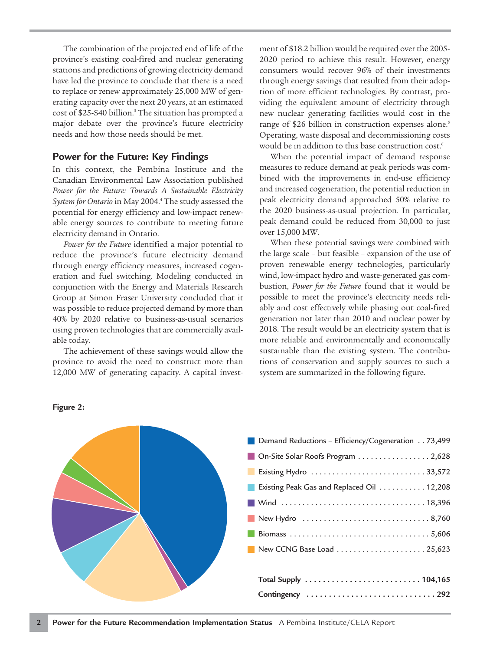The combination of the projected end of life of the province's existing coal-fired and nuclear generating stations and predictions of growing electricity demand have led the province to conclude that there is a need to replace or renew approximately 25,000 MW of generating capacity over the next 20 years, at an estimated cost of \$25-\$40 billion.<sup>3</sup> The situation has prompted a major debate over the province's future electricity needs and how those needs should be met.

### **Power for the Future: Key Findings**

In this context, the Pembina Institute and the Canadian Environmental Law Association published *Power for the Future: Towards A Sustainable Electricity System for Ontario* in May 2004.4 The study assessed the potential for energy efficiency and low-impact renewable energy sources to contribute to meeting future electricity demand in Ontario.

*Power for the Future* identified a major potential to reduce the province's future electricity demand through energy efficiency measures, increased cogeneration and fuel switching. Modeling conducted in conjunction with the Energy and Materials Research Group at Simon Fraser University concluded that it was possible to reduce projected demand by more than 40% by 2020 relative to business-as-usual scenarios using proven technologies that are commercially available today.

The achievement of these savings would allow the province to avoid the need to construct more than 12,000 MW of generating capacity. A capital investment of \$18.2 billion would be required over the 2005- 2020 period to achieve this result. However, energy consumers would recover 96% of their investments through energy savings that resulted from their adoption of more efficient technologies. By contrast, providing the equivalent amount of electricity through new nuclear generating facilities would cost in the range of \$26 billion in construction expenses alone.<sup>5</sup> Operating, waste disposal and decommissioning costs would be in addition to this base construction cost.<sup>6</sup>

When the potential impact of demand response measures to reduce demand at peak periods was combined with the improvements in end-use efficiency and increased cogeneration, the potential reduction in peak electricity demand approached 50% relative to the 2020 business-as-usual projection. In particular, peak demand could be reduced from 30,000 to just over 15,000 MW.

When these potential savings were combined with the large scale – but feasible – expansion of the use of proven renewable energy technologies, particularly wind, low-impact hydro and waste-generated gas combustion, *Power for the Future* found that it would be possible to meet the province's electricity needs reliably and cost effectively while phasing out coal-fired generation not later than 2010 and nuclear power by 2018. The result would be an electricity system that is more reliable and environmentally and economically sustainable than the existing system. The contributions of conservation and supply sources to such a system are summarized in the following figure.

| Demand Reductions - Efficiency/Cogeneration 73,499              |
|-----------------------------------------------------------------|
| On-Site Solar Roofs Program 2,628                               |
|                                                                 |
| Existing Peak Gas and Replaced Oil 12,208                       |
|                                                                 |
| New Hydro $\dots\dots\dots\dots\dots\dots\dots\dots\dots 8,760$ |
|                                                                 |
| New CCNG Base Load 25,623                                       |
|                                                                 |
|                                                                 |
|                                                                 |

### **Figure 2:**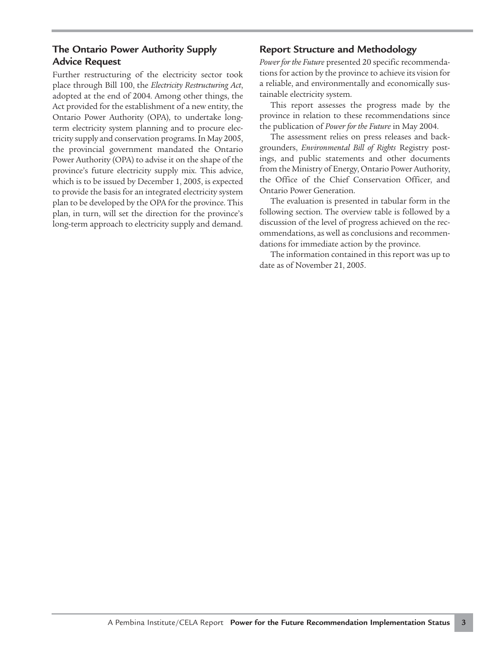### **The Ontario Power Authority Supply Advice Request**

Further restructuring of the electricity sector took place through Bill 100, the *Electricity Restructuring Act*, adopted at the end of 2004. Among other things, the Act provided for the establishment of a new entity, the Ontario Power Authority (OPA), to undertake longterm electricity system planning and to procure electricity supply and conservation programs. In May 2005, the provincial government mandated the Ontario Power Authority (OPA) to advise it on the shape of the province's future electricity supply mix. This advice, which is to be issued by December 1, 2005, is expected to provide the basis for an integrated electricity system plan to be developed by the OPA for the province. This plan, in turn, will set the direction for the province's long-term approach to electricity supply and demand.

### **Report Structure and Methodology**

*Power for the Future* presented 20 specific recommendations for action by the province to achieve its vision for a reliable, and environmentally and economically sustainable electricity system.

This report assesses the progress made by the province in relation to these recommendations since the publication of *Power for the Future* in May 2004.

The assessment relies on press releases and backgrounders, *Environmental Bill of Rights* Registry postings, and public statements and other documents from the Ministry of Energy, Ontario Power Authority, the Office of the Chief Conservation Officer, and Ontario Power Generation.

The evaluation is presented in tabular form in the following section. The overview table is followed by a discussion of the level of progress achieved on the recommendations, as well as conclusions and recommendations for immediate action by the province.

The information contained in this report was up to date as of November 21, 2005.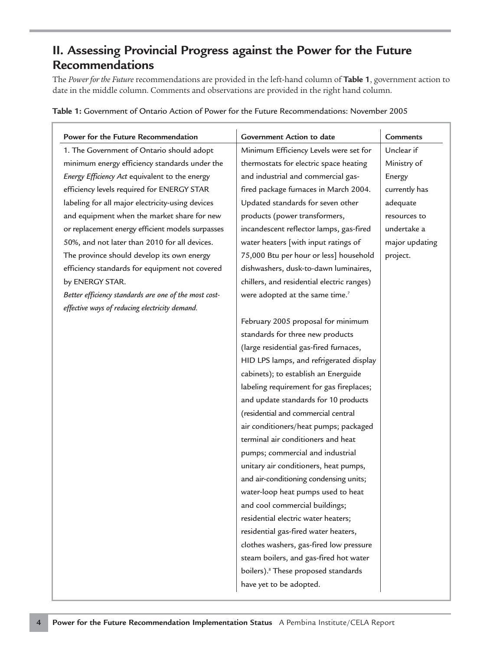### **II. Assessing Provincial Progress against the Power for the Future Recommendations**

The *Power for the Future* recommendations are provided in the left-hand column of **Table 1**, government action to date in the middle column. Comments and observations are provided in the right hand column.

| Power for the Future Recommendation                   | Government Action to date                       | <b>Comments</b> |
|-------------------------------------------------------|-------------------------------------------------|-----------------|
| 1. The Government of Ontario should adopt             | Minimum Efficiency Levels were set for          | Unclear if      |
| minimum energy efficiency standards under the         | thermostats for electric space heating          | Ministry of     |
| Energy Efficiency Act equivalent to the energy        | and industrial and commercial gas-              | Energy          |
| efficiency levels required for ENERGY STAR            | fired package furnaces in March 2004.           | currently has   |
| labeling for all major electricity-using devices      | Updated standards for seven other               | adequate        |
| and equipment when the market share for new           | products (power transformers,                   | resources to    |
| or replacement energy efficient models surpasses      | incandescent reflector lamps, gas-fired         | undertake a     |
| 50%, and not later than 2010 for all devices.         | water heaters [with input ratings of            | major updating  |
| The province should develop its own energy            | 75,000 Btu per hour or less] household          | project.        |
| efficiency standards for equipment not covered        | dishwashers, dusk-to-dawn luminaires,           |                 |
| by ENERGY STAR.                                       | chillers, and residential electric ranges)      |                 |
| Better efficiency standards are one of the most cost- | were adopted at the same time. <sup>7</sup>     |                 |
| effective ways of reducing electricity demand.        |                                                 |                 |
|                                                       | February 2005 proposal for minimum              |                 |
|                                                       | standards for three new products                |                 |
|                                                       | (large residential gas-fired furnaces,          |                 |
|                                                       | HID LPS lamps, and refrigerated display         |                 |
|                                                       | cabinets); to establish an Energuide            |                 |
|                                                       | labeling requirement for gas fireplaces;        |                 |
|                                                       | and update standards for 10 products            |                 |
|                                                       | (residential and commercial central             |                 |
|                                                       | air conditioners/heat pumps; packaged           |                 |
|                                                       | terminal air conditioners and heat              |                 |
|                                                       | pumps; commercial and industrial                |                 |
|                                                       | unitary air conditioners, heat pumps,           |                 |
|                                                       | and air-conditioning condensing units;          |                 |
|                                                       | water-loop heat pumps used to heat              |                 |
|                                                       | and cool commercial buildings;                  |                 |
|                                                       | residential electric water heaters;             |                 |
|                                                       | residential gas-fired water heaters,            |                 |
|                                                       | clothes washers, gas-fired low pressure         |                 |
|                                                       | steam boilers, and gas-fired hot water          |                 |
|                                                       | boilers). <sup>8</sup> These proposed standards |                 |
|                                                       | have yet to be adopted.                         |                 |

**Table 1:** Government of Ontario Action of Power for the Future Recommendations: November 2005

r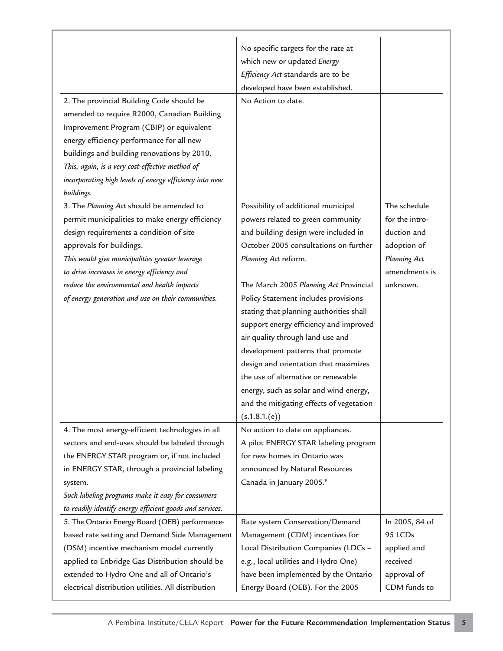|                                                          | No specific targets for the rate at      |                     |
|----------------------------------------------------------|------------------------------------------|---------------------|
|                                                          | which new or updated Energy              |                     |
|                                                          | Efficiency Act standards are to be       |                     |
|                                                          | developed have been established.         |                     |
| 2. The provincial Building Code should be                | No Action to date.                       |                     |
| amended to require R2000, Canadian Building              |                                          |                     |
| Improvement Program (CBIP) or equivalent                 |                                          |                     |
| energy efficiency performance for all new                |                                          |                     |
| buildings and building renovations by 2010.              |                                          |                     |
| This, again, is a very cost-effective method of          |                                          |                     |
| incorporating high levels of energy efficiency into new  |                                          |                     |
| buildings.                                               |                                          |                     |
| 3. The Planning Act should be amended to                 | Possibility of additional municipal      | The schedule        |
| permit municipalities to make energy efficiency          | powers related to green community        | for the intro-      |
| design requirements a condition of site                  | and building design were included in     | duction and         |
| approvals for buildings.                                 | October 2005 consultations on further    | adoption of         |
| This would give municipalities greater leverage          | Planning Act reform.                     | <b>Planning Act</b> |
| to drive increases in energy efficiency and              |                                          | amendments is       |
| reduce the environmental and health impacts              | The March 2005 Planning Act Provincial   | unknown.            |
| of energy generation and use on their communities.       | Policy Statement includes provisions     |                     |
|                                                          | stating that planning authorities shall  |                     |
|                                                          | support energy efficiency and improved   |                     |
|                                                          | air quality through land use and         |                     |
|                                                          | development patterns that promote        |                     |
|                                                          | design and orientation that maximizes    |                     |
|                                                          | the use of alternative or renewable      |                     |
|                                                          | energy, such as solar and wind energy,   |                     |
|                                                          | and the mitigating effects of vegetation |                     |
|                                                          | (s.1.8.1.(e))                            |                     |
| 4. The most energy-efficient technologies in all         | No action to date on appliances.         |                     |
| sectors and end-uses should be labeled through           | A pilot ENERGY STAR labeling program     |                     |
| the ENERGY STAR program or, if not included              | for new homes in Ontario was             |                     |
| in ENERGY STAR, through a provincial labeling            | announced by Natural Resources           |                     |
| system.                                                  | Canada in January 2005.9                 |                     |
| Such labeling programs make it easy for consumers        |                                          |                     |
| to readily identify energy efficient goods and services. |                                          |                     |
| 5. The Ontario Energy Board (OEB) performance-           | Rate system Conservation/Demand          | In 2005, 84 of      |
| based rate setting and Demand Side Management            | Management (CDM) incentives for          | 95 LCDs             |
|                                                          |                                          |                     |
| (DSM) incentive mechanism model currently                | Local Distribution Companies (LDCs -     | applied and         |
| applied to Enbridge Gas Distribution should be           | e.g., local utilities and Hydro One)     | received            |
| extended to Hydro One and all of Ontario's               | have been implemented by the Ontario     | approval of         |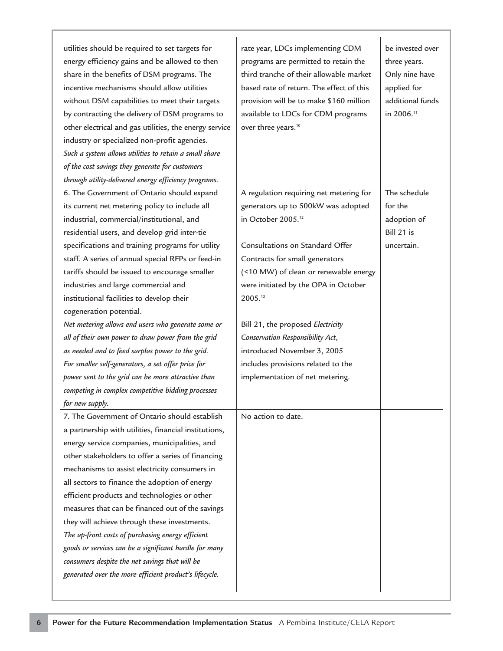| utilities should be required to set targets for<br>energy efficiency gains and be allowed to then<br>share in the benefits of DSM programs. The<br>incentive mechanisms should allow utilities<br>without DSM capabilities to meet their targets<br>by contracting the delivery of DSM programs to<br>other electrical and gas utilities, the energy service<br>industry or specialized non-profit agencies.<br>Such a system allows utilities to retain a small share<br>of the cost savings they generate for customers<br>through utility-delivered energy efficiency programs. | rate year, LDCs implementing CDM<br>programs are permitted to retain the<br>third tranche of their allowable market<br>based rate of return. The effect of this<br>provision will be to make \$160 million<br>available to LDCs for CDM programs<br>over three years. <sup>10</sup> | be invested over<br>three years.<br>Only nine have<br>applied for<br>additional funds<br>in 2006. <sup>11</sup> |
|------------------------------------------------------------------------------------------------------------------------------------------------------------------------------------------------------------------------------------------------------------------------------------------------------------------------------------------------------------------------------------------------------------------------------------------------------------------------------------------------------------------------------------------------------------------------------------|-------------------------------------------------------------------------------------------------------------------------------------------------------------------------------------------------------------------------------------------------------------------------------------|-----------------------------------------------------------------------------------------------------------------|
| 6. The Government of Ontario should expand                                                                                                                                                                                                                                                                                                                                                                                                                                                                                                                                         | A regulation requiring net metering for                                                                                                                                                                                                                                             | The schedule                                                                                                    |
| its current net metering policy to include all                                                                                                                                                                                                                                                                                                                                                                                                                                                                                                                                     | generators up to 500kW was adopted                                                                                                                                                                                                                                                  | for the                                                                                                         |
| industrial, commercial/institutional, and                                                                                                                                                                                                                                                                                                                                                                                                                                                                                                                                          | in October 2005. <sup>12</sup>                                                                                                                                                                                                                                                      | adoption of                                                                                                     |
| residential users, and develop grid inter-tie                                                                                                                                                                                                                                                                                                                                                                                                                                                                                                                                      |                                                                                                                                                                                                                                                                                     | Bill 21 is                                                                                                      |
| specifications and training programs for utility                                                                                                                                                                                                                                                                                                                                                                                                                                                                                                                                   | Consultations on Standard Offer                                                                                                                                                                                                                                                     | uncertain.                                                                                                      |
| staff. A series of annual special RFPs or feed-in                                                                                                                                                                                                                                                                                                                                                                                                                                                                                                                                  | Contracts for small generators                                                                                                                                                                                                                                                      |                                                                                                                 |
| tariffs should be issued to encourage smaller                                                                                                                                                                                                                                                                                                                                                                                                                                                                                                                                      | (<10 MW) of clean or renewable energy                                                                                                                                                                                                                                               |                                                                                                                 |
| industries and large commercial and                                                                                                                                                                                                                                                                                                                                                                                                                                                                                                                                                | were initiated by the OPA in October                                                                                                                                                                                                                                                |                                                                                                                 |
| institutional facilities to develop their                                                                                                                                                                                                                                                                                                                                                                                                                                                                                                                                          | 2005.13                                                                                                                                                                                                                                                                             |                                                                                                                 |
| cogeneration potential.                                                                                                                                                                                                                                                                                                                                                                                                                                                                                                                                                            |                                                                                                                                                                                                                                                                                     |                                                                                                                 |
| Net metering allows end users who generate some or                                                                                                                                                                                                                                                                                                                                                                                                                                                                                                                                 | Bill 21, the proposed Electricity                                                                                                                                                                                                                                                   |                                                                                                                 |
| all of their own power to draw power from the grid                                                                                                                                                                                                                                                                                                                                                                                                                                                                                                                                 | Conservation Responsibility Act,                                                                                                                                                                                                                                                    |                                                                                                                 |
| as needed and to feed surplus power to the grid.                                                                                                                                                                                                                                                                                                                                                                                                                                                                                                                                   | introduced November 3, 2005                                                                                                                                                                                                                                                         |                                                                                                                 |
| For smaller self-generators, a set offer price for                                                                                                                                                                                                                                                                                                                                                                                                                                                                                                                                 | includes provisions related to the                                                                                                                                                                                                                                                  |                                                                                                                 |
| power sent to the grid can be more attractive than                                                                                                                                                                                                                                                                                                                                                                                                                                                                                                                                 | implementation of net metering.                                                                                                                                                                                                                                                     |                                                                                                                 |
| competing in complex competitive bidding processes                                                                                                                                                                                                                                                                                                                                                                                                                                                                                                                                 |                                                                                                                                                                                                                                                                                     |                                                                                                                 |
| for new supply.                                                                                                                                                                                                                                                                                                                                                                                                                                                                                                                                                                    |                                                                                                                                                                                                                                                                                     |                                                                                                                 |
| 7. The Government of Ontario should establish<br>a partnership with utilities, financial institutions,                                                                                                                                                                                                                                                                                                                                                                                                                                                                             | No action to date.                                                                                                                                                                                                                                                                  |                                                                                                                 |
| energy service companies, municipalities, and                                                                                                                                                                                                                                                                                                                                                                                                                                                                                                                                      |                                                                                                                                                                                                                                                                                     |                                                                                                                 |
| other stakeholders to offer a series of financing                                                                                                                                                                                                                                                                                                                                                                                                                                                                                                                                  |                                                                                                                                                                                                                                                                                     |                                                                                                                 |
| mechanisms to assist electricity consumers in                                                                                                                                                                                                                                                                                                                                                                                                                                                                                                                                      |                                                                                                                                                                                                                                                                                     |                                                                                                                 |
| all sectors to finance the adoption of energy                                                                                                                                                                                                                                                                                                                                                                                                                                                                                                                                      |                                                                                                                                                                                                                                                                                     |                                                                                                                 |
| efficient products and technologies or other                                                                                                                                                                                                                                                                                                                                                                                                                                                                                                                                       |                                                                                                                                                                                                                                                                                     |                                                                                                                 |
| measures that can be financed out of the savings                                                                                                                                                                                                                                                                                                                                                                                                                                                                                                                                   |                                                                                                                                                                                                                                                                                     |                                                                                                                 |
| they will achieve through these investments.                                                                                                                                                                                                                                                                                                                                                                                                                                                                                                                                       |                                                                                                                                                                                                                                                                                     |                                                                                                                 |
| The up-front costs of purchasing energy efficient                                                                                                                                                                                                                                                                                                                                                                                                                                                                                                                                  |                                                                                                                                                                                                                                                                                     |                                                                                                                 |
| goods or services can be a significant hurdle for many                                                                                                                                                                                                                                                                                                                                                                                                                                                                                                                             |                                                                                                                                                                                                                                                                                     |                                                                                                                 |
| consumers despite the net savings that will be                                                                                                                                                                                                                                                                                                                                                                                                                                                                                                                                     |                                                                                                                                                                                                                                                                                     |                                                                                                                 |
| generated over the more efficient product's lifecycle.                                                                                                                                                                                                                                                                                                                                                                                                                                                                                                                             |                                                                                                                                                                                                                                                                                     |                                                                                                                 |
|                                                                                                                                                                                                                                                                                                                                                                                                                                                                                                                                                                                    |                                                                                                                                                                                                                                                                                     |                                                                                                                 |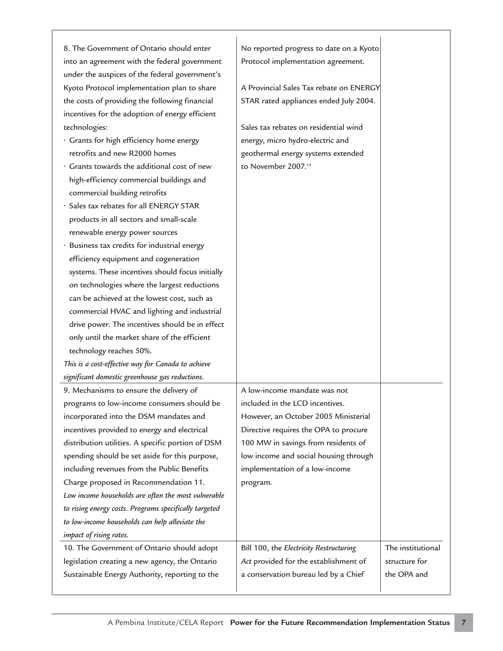| 8. The Government of Ontario should enter              | No reported progress to date on a Kyoto |                   |
|--------------------------------------------------------|-----------------------------------------|-------------------|
| into an agreement with the federal government          | Protocol implementation agreement.      |                   |
| under the auspices of the federal government's         |                                         |                   |
| Kyoto Protocol implementation plan to share            | A Provincial Sales Tax rebate on ENERGY |                   |
| the costs of providing the following financial         | STAR rated appliances ended July 2004.  |                   |
| incentives for the adoption of energy efficient        |                                         |                   |
| technologies:                                          | Sales tax rebates on residential wind   |                   |
| · Grants for high efficiency home energy               | energy, micro hydro-electric and        |                   |
| retrofits and new R2000 homes                          | geothermal energy systems extended      |                   |
| · Grants towards the additional cost of new            | to November 2007. <sup>14</sup>         |                   |
| high-efficiency commercial buildings and               |                                         |                   |
| commercial building retrofits                          |                                         |                   |
| · Sales tax rebates for all ENERGY STAR                |                                         |                   |
| products in all sectors and small-scale                |                                         |                   |
| renewable energy power sources                         |                                         |                   |
| · Business tax credits for industrial energy           |                                         |                   |
| efficiency equipment and cogeneration                  |                                         |                   |
| systems. These incentives should focus initially       |                                         |                   |
| on technologies where the largest reductions           |                                         |                   |
| can be achieved at the lowest cost, such as            |                                         |                   |
| commercial HVAC and lighting and industrial            |                                         |                   |
| drive power. The incentives should be in effect        |                                         |                   |
| only until the market share of the efficient           |                                         |                   |
| technology reaches 50%.                                |                                         |                   |
| This is a cost-effective way for Canada to achieve     |                                         |                   |
| significant domestic greenhouse gas reductions.        |                                         |                   |
| 9. Mechanisms to ensure the delivery of                | A low-income mandate was not            |                   |
| programs to low-income consumers should be             | included in the LCD incentives.         |                   |
| incorporated into the DSM mandates and                 | However, an October 2005 Ministerial    |                   |
| incentives provided to energy and electrical           | Directive requires the OPA to procure   |                   |
| distribution utilities. A specific portion of DSM      | 100 MW in savings from residents of     |                   |
| spending should be set aside for this purpose,         | low income and social housing through   |                   |
| including revenues from the Public Benefits            | implementation of a low-income          |                   |
| Charge proposed in Recommendation 11.                  | program.                                |                   |
| Low income households are often the most vulnerable    |                                         |                   |
| to rising energy costs. Programs specifically targeted |                                         |                   |
| to low-income households can help alleviate the        |                                         |                   |
| impact of rising rates.                                |                                         |                   |
| 10. The Government of Ontario should adopt             | Bill 100, the Electricity Restructuring | The institutional |
| legislation creating a new agency, the Ontario         | Act provided for the establishment of   | structure for     |
|                                                        | a conservation bureau led by a Chief    | the OPA and       |
| Sustainable Energy Authority, reporting to the         |                                         |                   |
|                                                        |                                         |                   |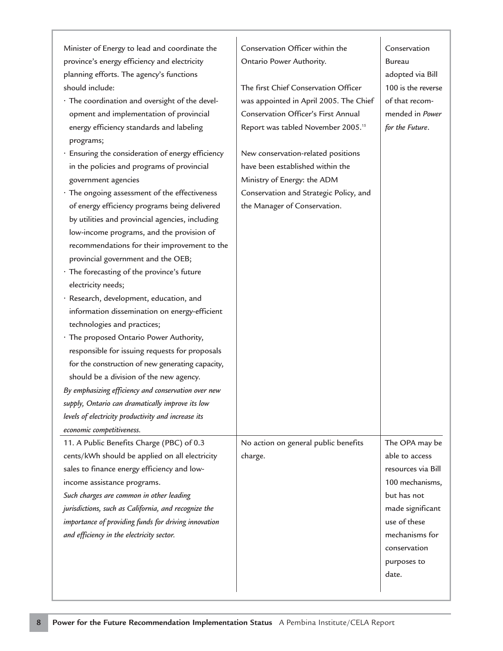| planning efforts. The agency's functions<br>adopted via Bill<br>should include:<br>The first Chief Conservation Officer<br>100 is the reverse<br>· The coordination and oversight of the devel-<br>was appointed in April 2005. The Chief<br>of that recom-<br>mended in Power<br>opment and implementation of provincial<br>Conservation Officer's First Annual<br>energy efficiency standards and labeling<br>Report was tabled November 2005. <sup>15</sup><br>for the Future.<br>programs;<br>· Ensuring the consideration of energy efficiency<br>New conservation-related positions<br>in the policies and programs of provincial<br>have been established within the<br>Ministry of Energy: the ADM<br>government agencies<br>· The ongoing assessment of the effectiveness<br>Conservation and Strategic Policy, and<br>of energy efficiency programs being delivered<br>the Manager of Conservation.<br>by utilities and provincial agencies, including<br>low-income programs, and the provision of<br>recommendations for their improvement to the<br>provincial government and the OEB; |
|-----------------------------------------------------------------------------------------------------------------------------------------------------------------------------------------------------------------------------------------------------------------------------------------------------------------------------------------------------------------------------------------------------------------------------------------------------------------------------------------------------------------------------------------------------------------------------------------------------------------------------------------------------------------------------------------------------------------------------------------------------------------------------------------------------------------------------------------------------------------------------------------------------------------------------------------------------------------------------------------------------------------------------------------------------------------------------------------------------|
|                                                                                                                                                                                                                                                                                                                                                                                                                                                                                                                                                                                                                                                                                                                                                                                                                                                                                                                                                                                                                                                                                                     |
|                                                                                                                                                                                                                                                                                                                                                                                                                                                                                                                                                                                                                                                                                                                                                                                                                                                                                                                                                                                                                                                                                                     |
|                                                                                                                                                                                                                                                                                                                                                                                                                                                                                                                                                                                                                                                                                                                                                                                                                                                                                                                                                                                                                                                                                                     |
|                                                                                                                                                                                                                                                                                                                                                                                                                                                                                                                                                                                                                                                                                                                                                                                                                                                                                                                                                                                                                                                                                                     |
|                                                                                                                                                                                                                                                                                                                                                                                                                                                                                                                                                                                                                                                                                                                                                                                                                                                                                                                                                                                                                                                                                                     |
|                                                                                                                                                                                                                                                                                                                                                                                                                                                                                                                                                                                                                                                                                                                                                                                                                                                                                                                                                                                                                                                                                                     |
|                                                                                                                                                                                                                                                                                                                                                                                                                                                                                                                                                                                                                                                                                                                                                                                                                                                                                                                                                                                                                                                                                                     |
|                                                                                                                                                                                                                                                                                                                                                                                                                                                                                                                                                                                                                                                                                                                                                                                                                                                                                                                                                                                                                                                                                                     |
|                                                                                                                                                                                                                                                                                                                                                                                                                                                                                                                                                                                                                                                                                                                                                                                                                                                                                                                                                                                                                                                                                                     |
|                                                                                                                                                                                                                                                                                                                                                                                                                                                                                                                                                                                                                                                                                                                                                                                                                                                                                                                                                                                                                                                                                                     |
|                                                                                                                                                                                                                                                                                                                                                                                                                                                                                                                                                                                                                                                                                                                                                                                                                                                                                                                                                                                                                                                                                                     |
|                                                                                                                                                                                                                                                                                                                                                                                                                                                                                                                                                                                                                                                                                                                                                                                                                                                                                                                                                                                                                                                                                                     |
|                                                                                                                                                                                                                                                                                                                                                                                                                                                                                                                                                                                                                                                                                                                                                                                                                                                                                                                                                                                                                                                                                                     |
|                                                                                                                                                                                                                                                                                                                                                                                                                                                                                                                                                                                                                                                                                                                                                                                                                                                                                                                                                                                                                                                                                                     |
|                                                                                                                                                                                                                                                                                                                                                                                                                                                                                                                                                                                                                                                                                                                                                                                                                                                                                                                                                                                                                                                                                                     |
| · The forecasting of the province's future                                                                                                                                                                                                                                                                                                                                                                                                                                                                                                                                                                                                                                                                                                                                                                                                                                                                                                                                                                                                                                                          |
| electricity needs;                                                                                                                                                                                                                                                                                                                                                                                                                                                                                                                                                                                                                                                                                                                                                                                                                                                                                                                                                                                                                                                                                  |
| · Research, development, education, and                                                                                                                                                                                                                                                                                                                                                                                                                                                                                                                                                                                                                                                                                                                                                                                                                                                                                                                                                                                                                                                             |
| information dissemination on energy-efficient                                                                                                                                                                                                                                                                                                                                                                                                                                                                                                                                                                                                                                                                                                                                                                                                                                                                                                                                                                                                                                                       |
| technologies and practices;                                                                                                                                                                                                                                                                                                                                                                                                                                                                                                                                                                                                                                                                                                                                                                                                                                                                                                                                                                                                                                                                         |
| · The proposed Ontario Power Authority,                                                                                                                                                                                                                                                                                                                                                                                                                                                                                                                                                                                                                                                                                                                                                                                                                                                                                                                                                                                                                                                             |
| responsible for issuing requests for proposals                                                                                                                                                                                                                                                                                                                                                                                                                                                                                                                                                                                                                                                                                                                                                                                                                                                                                                                                                                                                                                                      |
| for the construction of new generating capacity,                                                                                                                                                                                                                                                                                                                                                                                                                                                                                                                                                                                                                                                                                                                                                                                                                                                                                                                                                                                                                                                    |
| should be a division of the new agency.                                                                                                                                                                                                                                                                                                                                                                                                                                                                                                                                                                                                                                                                                                                                                                                                                                                                                                                                                                                                                                                             |
| By emphasizing efficiency and conservation over new                                                                                                                                                                                                                                                                                                                                                                                                                                                                                                                                                                                                                                                                                                                                                                                                                                                                                                                                                                                                                                                 |
| supply, Ontario can dramatically improve its low                                                                                                                                                                                                                                                                                                                                                                                                                                                                                                                                                                                                                                                                                                                                                                                                                                                                                                                                                                                                                                                    |
| levels of electricity productivity and increase its                                                                                                                                                                                                                                                                                                                                                                                                                                                                                                                                                                                                                                                                                                                                                                                                                                                                                                                                                                                                                                                 |
| economic competitiveness.                                                                                                                                                                                                                                                                                                                                                                                                                                                                                                                                                                                                                                                                                                                                                                                                                                                                                                                                                                                                                                                                           |
| 11. A Public Benefits Charge (PBC) of 0.3<br>No action on general public benefits<br>The OPA may be                                                                                                                                                                                                                                                                                                                                                                                                                                                                                                                                                                                                                                                                                                                                                                                                                                                                                                                                                                                                 |
| able to access<br>cents/kWh should be applied on all electricity<br>charge.                                                                                                                                                                                                                                                                                                                                                                                                                                                                                                                                                                                                                                                                                                                                                                                                                                                                                                                                                                                                                         |
| sales to finance energy efficiency and low-<br>resources via Bill                                                                                                                                                                                                                                                                                                                                                                                                                                                                                                                                                                                                                                                                                                                                                                                                                                                                                                                                                                                                                                   |
| 100 mechanisms,<br>income assistance programs.                                                                                                                                                                                                                                                                                                                                                                                                                                                                                                                                                                                                                                                                                                                                                                                                                                                                                                                                                                                                                                                      |
| but has not<br>Such charges are common in other leading                                                                                                                                                                                                                                                                                                                                                                                                                                                                                                                                                                                                                                                                                                                                                                                                                                                                                                                                                                                                                                             |
| jurisdictions, such as California, and recognize the<br>made significant                                                                                                                                                                                                                                                                                                                                                                                                                                                                                                                                                                                                                                                                                                                                                                                                                                                                                                                                                                                                                            |
| use of these<br>importance of providing funds for driving innovation                                                                                                                                                                                                                                                                                                                                                                                                                                                                                                                                                                                                                                                                                                                                                                                                                                                                                                                                                                                                                                |
| mechanisms for<br>and efficiency in the electricity sector.                                                                                                                                                                                                                                                                                                                                                                                                                                                                                                                                                                                                                                                                                                                                                                                                                                                                                                                                                                                                                                         |
| conservation                                                                                                                                                                                                                                                                                                                                                                                                                                                                                                                                                                                                                                                                                                                                                                                                                                                                                                                                                                                                                                                                                        |
| purposes to                                                                                                                                                                                                                                                                                                                                                                                                                                                                                                                                                                                                                                                                                                                                                                                                                                                                                                                                                                                                                                                                                         |
| date.                                                                                                                                                                                                                                                                                                                                                                                                                                                                                                                                                                                                                                                                                                                                                                                                                                                                                                                                                                                                                                                                                               |
|                                                                                                                                                                                                                                                                                                                                                                                                                                                                                                                                                                                                                                                                                                                                                                                                                                                                                                                                                                                                                                                                                                     |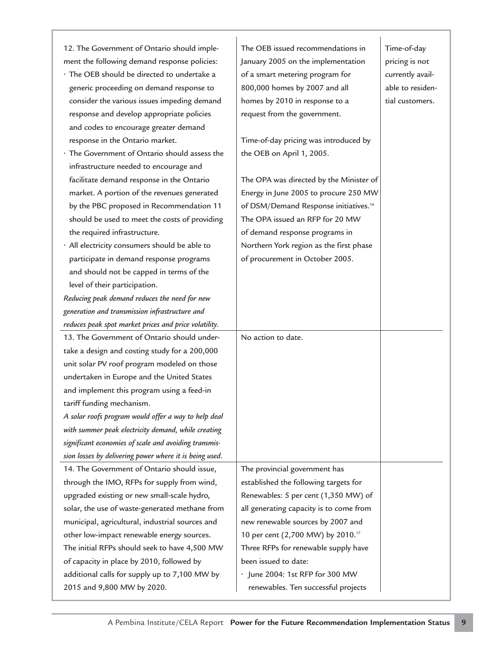| 12. The Government of Ontario should imple-                                                 | The OEB issued recommendations in                 | Time-of-day                          |
|---------------------------------------------------------------------------------------------|---------------------------------------------------|--------------------------------------|
|                                                                                             | January 2005 on the implementation                |                                      |
| ment the following demand response policies:<br>· The OEB should be directed to undertake a |                                                   | pricing is not                       |
|                                                                                             | of a smart metering program for                   | currently avail-<br>able to residen- |
| generic proceeding on demand response to                                                    | 800,000 homes by 2007 and all                     |                                      |
| consider the various issues impeding demand                                                 | homes by 2010 in response to a                    | tial customers.                      |
| response and develop appropriate policies                                                   | request from the government.                      |                                      |
| and codes to encourage greater demand                                                       |                                                   |                                      |
| response in the Ontario market.                                                             | Time-of-day pricing was introduced by             |                                      |
| · The Government of Ontario should assess the                                               | the OEB on April 1, 2005.                         |                                      |
| infrastructure needed to encourage and                                                      |                                                   |                                      |
| facilitate demand response in the Ontario                                                   | The OPA was directed by the Minister of           |                                      |
| market. A portion of the revenues generated                                                 | Energy in June 2005 to procure 250 MW             |                                      |
| by the PBC proposed in Recommendation 11                                                    | of DSM/Demand Response initiatives. <sup>16</sup> |                                      |
| should be used to meet the costs of providing                                               | The OPA issued an RFP for 20 MW                   |                                      |
| the required infrastructure.                                                                | of demand response programs in                    |                                      |
| · All electricity consumers should be able to                                               | Northern York region as the first phase           |                                      |
| participate in demand response programs                                                     | of procurement in October 2005.                   |                                      |
| and should not be capped in terms of the                                                    |                                                   |                                      |
| level of their participation.                                                               |                                                   |                                      |
| Reducing peak demand reduces the need for new                                               |                                                   |                                      |
| generation and transmission infrastructure and                                              |                                                   |                                      |
| reduces peak spot market prices and price volatility.                                       |                                                   |                                      |
| 13. The Government of Ontario should under-                                                 | No action to date.                                |                                      |
| take a design and costing study for a 200,000                                               |                                                   |                                      |
| unit solar PV roof program modeled on those                                                 |                                                   |                                      |
| undertaken in Europe and the United States                                                  |                                                   |                                      |
| and implement this program using a feed-in                                                  |                                                   |                                      |
| tariff funding mechanism.                                                                   |                                                   |                                      |
| A solar roofs program would offer a way to help deal                                        |                                                   |                                      |
| with summer peak electricity demand, while creating                                         |                                                   |                                      |
| significant economies of scale and avoiding transmis-                                       |                                                   |                                      |
| sion losses by delivering power where it is being used.                                     |                                                   |                                      |
| 14. The Government of Ontario should issue,                                                 | The provincial government has                     |                                      |
| through the IMO, RFPs for supply from wind,                                                 | established the following targets for             |                                      |
| upgraded existing or new small-scale hydro,                                                 | Renewables: 5 per cent (1,350 MW) of              |                                      |
| solar, the use of waste-generated methane from                                              | all generating capacity is to come from           |                                      |
| municipal, agricultural, industrial sources and                                             | new renewable sources by 2007 and                 |                                      |
| other low-impact renewable energy sources.                                                  | 10 per cent (2,700 MW) by 2010. <sup>17</sup>     |                                      |
|                                                                                             |                                                   |                                      |
| The initial RFPs should seek to have 4,500 MW                                               | Three RFPs for renewable supply have              |                                      |
| of capacity in place by 2010, followed by                                                   | been issued to date:                              |                                      |
| additional calls for supply up to 7,100 MW by                                               | June 2004: 1st RFP for 300 MW                     |                                      |
| 2015 and 9,800 MW by 2020.                                                                  | renewables. Ten successful projects               |                                      |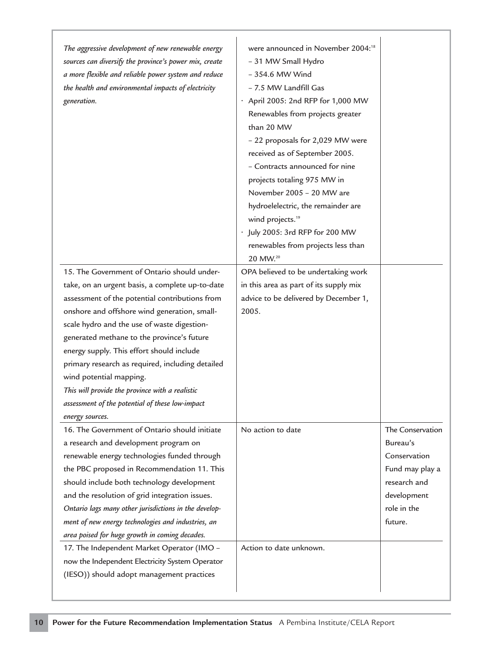| The aggressive development of new renewable energy<br>sources can diversify the province's power mix, create<br>a more flexible and reliable power system and reduce<br>the health and environmental impacts of electricity<br>generation. | were announced in November 2004: <sup>18</sup><br>- 31 MW Small Hydro<br>- 354.6 MW Wind<br>- 7.5 MW Landfill Gas<br>· April 2005: 2nd RFP for 1,000 MW<br>Renewables from projects greater<br>than 20 MW<br>- 22 proposals for 2,029 MW were<br>received as of September 2005.<br>- Contracts announced for nine<br>projects totaling 975 MW in<br>November 2005 - 20 MW are<br>hydroelelectric, the remainder are<br>wind projects. <sup>19</sup><br>· July 2005: 3rd RFP for 200 MW<br>renewables from projects less than<br>20 MW. <sup>20</sup> |                  |
|--------------------------------------------------------------------------------------------------------------------------------------------------------------------------------------------------------------------------------------------|------------------------------------------------------------------------------------------------------------------------------------------------------------------------------------------------------------------------------------------------------------------------------------------------------------------------------------------------------------------------------------------------------------------------------------------------------------------------------------------------------------------------------------------------------|------------------|
| 15. The Government of Ontario should under-                                                                                                                                                                                                | OPA believed to be undertaking work                                                                                                                                                                                                                                                                                                                                                                                                                                                                                                                  |                  |
| take, on an urgent basis, a complete up-to-date                                                                                                                                                                                            | in this area as part of its supply mix                                                                                                                                                                                                                                                                                                                                                                                                                                                                                                               |                  |
| assessment of the potential contributions from                                                                                                                                                                                             | advice to be delivered by December 1,                                                                                                                                                                                                                                                                                                                                                                                                                                                                                                                |                  |
| onshore and offshore wind generation, small-                                                                                                                                                                                               | 2005.                                                                                                                                                                                                                                                                                                                                                                                                                                                                                                                                                |                  |
| scale hydro and the use of waste digestion-                                                                                                                                                                                                |                                                                                                                                                                                                                                                                                                                                                                                                                                                                                                                                                      |                  |
| generated methane to the province's future                                                                                                                                                                                                 |                                                                                                                                                                                                                                                                                                                                                                                                                                                                                                                                                      |                  |
| energy supply. This effort should include                                                                                                                                                                                                  |                                                                                                                                                                                                                                                                                                                                                                                                                                                                                                                                                      |                  |
| primary research as required, including detailed                                                                                                                                                                                           |                                                                                                                                                                                                                                                                                                                                                                                                                                                                                                                                                      |                  |
| wind potential mapping.                                                                                                                                                                                                                    |                                                                                                                                                                                                                                                                                                                                                                                                                                                                                                                                                      |                  |
| This will provide the province with a realistic                                                                                                                                                                                            |                                                                                                                                                                                                                                                                                                                                                                                                                                                                                                                                                      |                  |
| assessment of the potential of these low-impact                                                                                                                                                                                            |                                                                                                                                                                                                                                                                                                                                                                                                                                                                                                                                                      |                  |
| energy sources.                                                                                                                                                                                                                            |                                                                                                                                                                                                                                                                                                                                                                                                                                                                                                                                                      |                  |
| 16. The Government of Ontario should initiate                                                                                                                                                                                              | No action to date                                                                                                                                                                                                                                                                                                                                                                                                                                                                                                                                    | The Conservation |
| a research and development program on                                                                                                                                                                                                      |                                                                                                                                                                                                                                                                                                                                                                                                                                                                                                                                                      | Bureau's         |
| renewable energy technologies funded through                                                                                                                                                                                               |                                                                                                                                                                                                                                                                                                                                                                                                                                                                                                                                                      | Conservation     |
| the PBC proposed in Recommendation 11. This                                                                                                                                                                                                |                                                                                                                                                                                                                                                                                                                                                                                                                                                                                                                                                      | Fund may play a  |
| should include both technology development                                                                                                                                                                                                 |                                                                                                                                                                                                                                                                                                                                                                                                                                                                                                                                                      | research and     |
| and the resolution of grid integration issues.                                                                                                                                                                                             |                                                                                                                                                                                                                                                                                                                                                                                                                                                                                                                                                      | development      |
| Ontario lags many other jurisdictions in the develop-                                                                                                                                                                                      |                                                                                                                                                                                                                                                                                                                                                                                                                                                                                                                                                      | role in the      |
| ment of new energy technologies and industries, an                                                                                                                                                                                         |                                                                                                                                                                                                                                                                                                                                                                                                                                                                                                                                                      | future.          |
| area poised for huge growth in coming decades.                                                                                                                                                                                             |                                                                                                                                                                                                                                                                                                                                                                                                                                                                                                                                                      |                  |
| 17. The Independent Market Operator (IMO -                                                                                                                                                                                                 | Action to date unknown.                                                                                                                                                                                                                                                                                                                                                                                                                                                                                                                              |                  |
|                                                                                                                                                                                                                                            |                                                                                                                                                                                                                                                                                                                                                                                                                                                                                                                                                      |                  |
| now the Independent Electricity System Operator                                                                                                                                                                                            |                                                                                                                                                                                                                                                                                                                                                                                                                                                                                                                                                      |                  |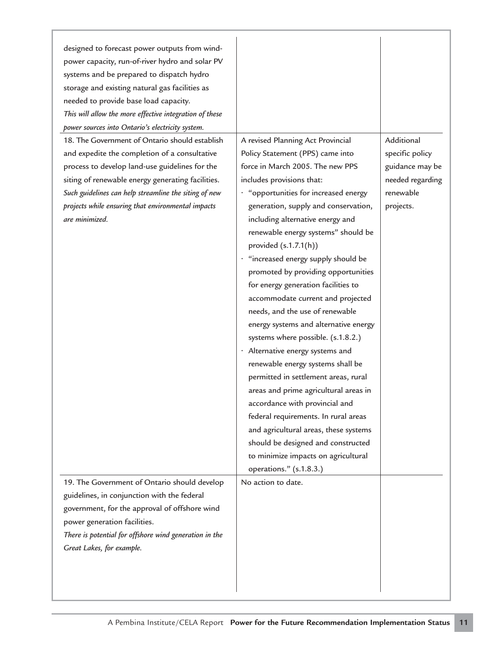| designed to forecast power outputs from wind-<br>power capacity, run-of-river hydro and solar PV<br>systems and be prepared to dispatch hydro<br>storage and existing natural gas facilities as<br>needed to provide base load capacity.<br>This will allow the more effective integration of these<br>power sources into Ontario's electricity system.<br>18. The Government of Ontario should establish<br>and expedite the completion of a consultative<br>process to develop land-use guidelines for the<br>siting of renewable energy generating facilities.<br>Such guidelines can help streamline the siting of new<br>projects while ensuring that environmental impacts<br>are minimized.<br>19. The Government of Ontario should develop | A revised Planning Act Provincial<br>Policy Statement (PPS) came into<br>force in March 2005. The new PPS<br>includes provisions that:<br>· "opportunities for increased energy<br>generation, supply and conservation,<br>including alternative energy and<br>renewable energy systems" should be<br>provided $(s.1.7.1(h))$<br>· "increased energy supply should be<br>promoted by providing opportunities<br>for energy generation facilities to<br>accommodate current and projected<br>needs, and the use of renewable<br>energy systems and alternative energy<br>systems where possible. (s.1.8.2.)<br>· Alternative energy systems and<br>renewable energy systems shall be<br>permitted in settlement areas, rural<br>areas and prime agricultural areas in<br>accordance with provincial and<br>federal requirements. In rural areas<br>and agricultural areas, these systems<br>should be designed and constructed<br>to minimize impacts on agricultural<br>operations." (s.1.8.3.)<br>No action to date. | Additional<br>specific policy<br>guidance may be<br>needed regarding<br>renewable<br>projects. |
|----------------------------------------------------------------------------------------------------------------------------------------------------------------------------------------------------------------------------------------------------------------------------------------------------------------------------------------------------------------------------------------------------------------------------------------------------------------------------------------------------------------------------------------------------------------------------------------------------------------------------------------------------------------------------------------------------------------------------------------------------|-----------------------------------------------------------------------------------------------------------------------------------------------------------------------------------------------------------------------------------------------------------------------------------------------------------------------------------------------------------------------------------------------------------------------------------------------------------------------------------------------------------------------------------------------------------------------------------------------------------------------------------------------------------------------------------------------------------------------------------------------------------------------------------------------------------------------------------------------------------------------------------------------------------------------------------------------------------------------------------------------------------------------|------------------------------------------------------------------------------------------------|
| guidelines, in conjunction with the federal<br>government, for the approval of offshore wind<br>power generation facilities.<br>There is potential for offshore wind generation in the<br>Great Lakes, for example.                                                                                                                                                                                                                                                                                                                                                                                                                                                                                                                                |                                                                                                                                                                                                                                                                                                                                                                                                                                                                                                                                                                                                                                                                                                                                                                                                                                                                                                                                                                                                                       |                                                                                                |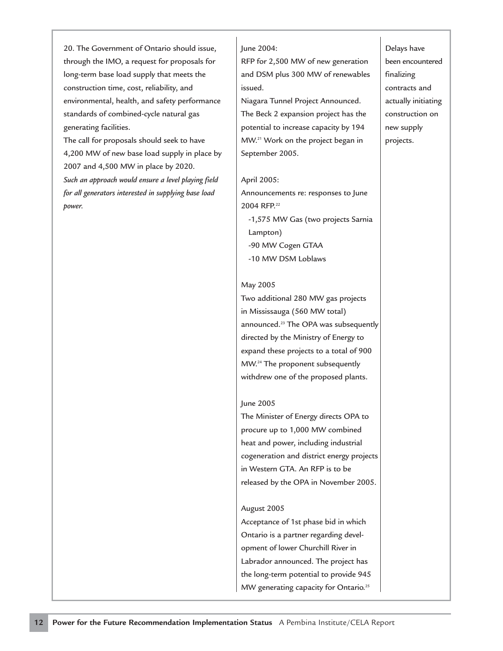20. The Government of Ontario should issue, June 2004: Delays have Delays have through the IMO, a request for proposals for  $RFP$  for 2,500 MW of new generation been encountered long-term base load supply that meets the  $\vert$  and DSM plus 300 MW of renewables  $\vert$  finalizing construction time, cost, reliability, and issued. The issued issued is a contracts and issued. environmental, health, and safety performance | Niagara Tunnel Project Announced. | actually initiating standards of combined-cycle natural gas The Beck 2 expansion project has the construction on generating facilities. example  $\vert$  potential to increase capacity by 194 new supply

The call for proposals should seek to have  $\vert$  MW.<sup>21</sup> Work on the project began in projects. 4,200 MW of new base load supply in place by  $\mid$  September 2005. 2007 and 4,500 MW in place by 2020.

Such an approach would ensure a level playing field | April 2005: *for all generators interested in supplying base load* Announcements re: responses to June *power.* 2004 RFP.<sup>22</sup>

-1,575 MW Gas (two projects Sarnia Lampton) -90 MW Cogen GTAA -10 MW DSM Loblaws

### May 2005

Two additional 280 MW gas projects in Mississauga (560 MW total) announced.<sup>23</sup> The OPA was subsequently directed by the Ministry of Energy to expand these projects to a total of 900 MW.<sup>24</sup> The proponent subsequently withdrew one of the proposed plants.

### June 2005

The Minister of Energy directs OPA to procure up to 1,000 MW combined heat and power, including industrial cogeneration and district energy projects in Western GTA. An RFP is to be released by the OPA in November 2005.

### August 2005

Acceptance of 1st phase bid in which Ontario is a partner regarding development of lower Churchill River in Labrador announced. The project has the long-term potential to provide 945 MW generating capacity for Ontario.<sup>25</sup>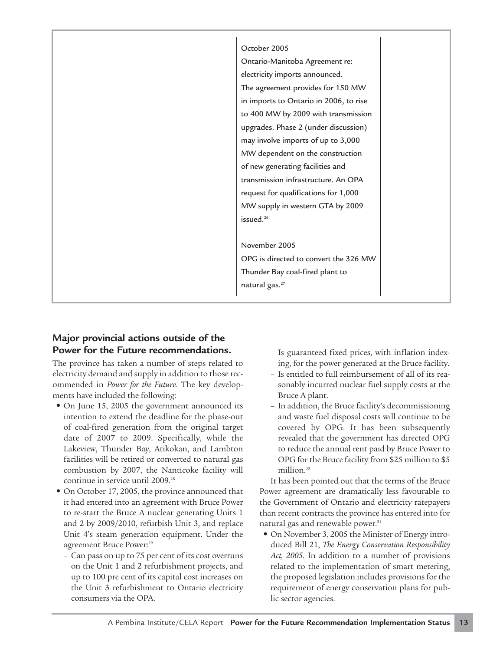| October 2005                           |
|----------------------------------------|
| Ontario-Manitoba Agreement re:         |
| electricity imports announced.         |
| The agreement provides for 150 MW      |
| in imports to Ontario in 2006, to rise |
| to 400 MW by 2009 with transmission    |
| upgrades. Phase 2 (under discussion)   |
| may involve imports of up to 3,000     |
| MW dependent on the construction       |
| of new generating facilities and       |
| transmission infrastructure. An OPA    |
| request for qualifications for 1,000   |
| MW supply in western GTA by 2009       |
| issued. $26$                           |
|                                        |
| November 2005                          |
| OPG is directed to convert the 326 MW  |
| Thunder Bay coal-fired plant to        |
| natural gas. <sup>27</sup>             |
|                                        |

### **Major provincial actions outside of the Power for the Future recommendations.**

The province has taken a number of steps related to electricity demand and supply in addition to those recommended in *Power for the Future*. The key developments have included the following:

- **•** On June 15, 2005 the government announced its intention to extend the deadline for the phase-out of coal-fired generation from the original target date of 2007 to 2009. Specifically, while the Lakeview, Thunder Bay, Atikokan, and Lambton facilities will be retired or converted to natural gas combustion by 2007, the Nanticoke facility will continue in service until 2009.<sup>28</sup>
- **•** On October 17, 2005, the province announced that it had entered into an agreement with Bruce Power to re-start the Bruce A nuclear generating Units 1 and 2 by 2009/2010, refurbish Unit 3, and replace Unit 4's steam generation equipment. Under the agreement Bruce Power:<sup>29</sup>
	- Can pass on up to 75 per cent of its cost overruns on the Unit 1 and 2 refurbishment projects, and up to 100 pre cent of its capital cost increases on the Unit 3 refurbishment to Ontario electricity consumers via the OPA.
- Is guaranteed fixed prices, with inflation indexing, for the power generated at the Bruce facility.
- Is entitled to full reimbursement of all of its reasonably incurred nuclear fuel supply costs at the Bruce A plant.
- In addition, the Bruce facility's decommissioning and waste fuel disposal costs will continue to be covered by OPG. It has been subsequently revealed that the government has directed OPG to reduce the annual rent paid by Bruce Power to OPG for the Bruce facility from \$25 million to \$5 million.<sup>30</sup>

It has been pointed out that the terms of the Bruce Power agreement are dramatically less favourable to the Government of Ontario and electricity ratepayers than recent contracts the province has entered into for natural gas and renewable power.<sup>31</sup>

**•** On November 3, 2005 the Minister of Energy introduced Bill 21, *The Energy Conservation Responsibility Act, 2005*. In addition to a number of provisions related to the implementation of smart metering, the proposed legislation includes provisions for the requirement of energy conservation plans for public sector agencies.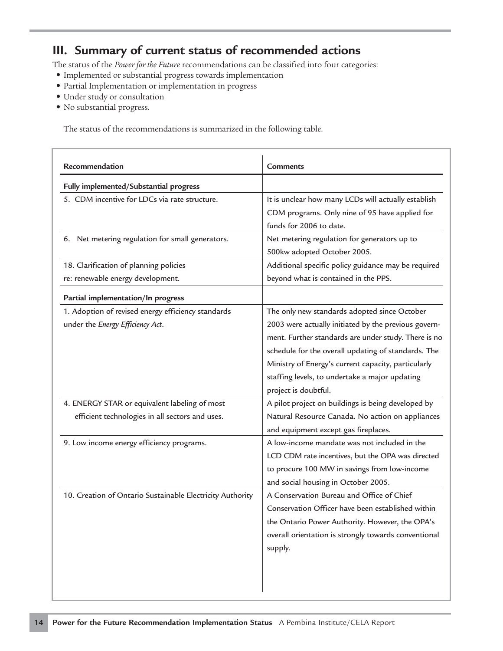### **III. Summary of current status of recommended actions**

The status of the *Power for the Future* recommendations can be classified into four categories:

- **•** Implemented or substantial progress towards implementation
- **•** Partial Implementation or implementation in progress
- **•** Under study or consultation
- **•** No substantial progress.

The status of the recommendations is summarized in the following table.

| Recommendation                                            | <b>Comments</b>                                      |
|-----------------------------------------------------------|------------------------------------------------------|
| Fully implemented/Substantial progress                    |                                                      |
| 5. CDM incentive for LDCs via rate structure.             | It is unclear how many LCDs will actually establish  |
|                                                           | CDM programs. Only nine of 95 have applied for       |
|                                                           | funds for 2006 to date.                              |
| 6. Net metering regulation for small generators.          | Net metering regulation for generators up to         |
|                                                           | 500kw adopted October 2005.                          |
| 18. Clarification of planning policies                    | Additional specific policy guidance may be required  |
| re: renewable energy development.                         | beyond what is contained in the PPS.                 |
| Partial implementation/In progress                        |                                                      |
| 1. Adoption of revised energy efficiency standards        | The only new standards adopted since October         |
| under the Energy Efficiency Act.                          | 2003 were actually initiated by the previous govern- |
|                                                           | ment. Further standards are under study. There is no |
|                                                           | schedule for the overall updating of standards. The  |
|                                                           | Ministry of Energy's current capacity, particularly  |
|                                                           | staffing levels, to undertake a major updating       |
|                                                           | project is doubtful.                                 |
| 4. ENERGY STAR or equivalent labeling of most             | A pilot project on buildings is being developed by   |
| efficient technologies in all sectors and uses.           | Natural Resource Canada. No action on appliances     |
|                                                           | and equipment except gas fireplaces.                 |
| 9. Low income energy efficiency programs.                 | A low-income mandate was not included in the         |
|                                                           | LCD CDM rate incentives, but the OPA was directed    |
|                                                           | to procure 100 MW in savings from low-income         |
|                                                           | and social housing in October 2005.                  |
| 10. Creation of Ontario Sustainable Electricity Authority | A Conservation Bureau and Office of Chief            |
|                                                           | Conservation Officer have been established within    |
|                                                           | the Ontario Power Authority. However, the OPA's      |
|                                                           | overall orientation is strongly towards conventional |
|                                                           | supply.                                              |
|                                                           |                                                      |
|                                                           |                                                      |
|                                                           |                                                      |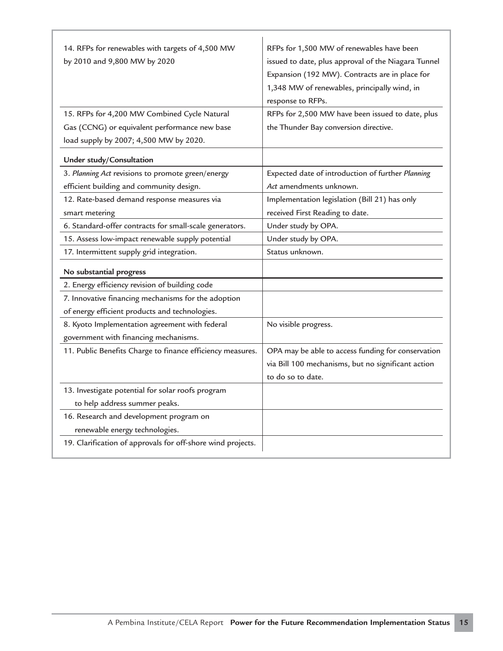| 14. RFPs for renewables with targets of 4,500 MW            | RFPs for 1,500 MW of renewables have been           |
|-------------------------------------------------------------|-----------------------------------------------------|
| by 2010 and 9,800 MW by 2020                                | issued to date, plus approval of the Niagara Tunnel |
|                                                             | Expansion (192 MW). Contracts are in place for      |
|                                                             | 1,348 MW of renewables, principally wind, in        |
|                                                             | response to RFPs.                                   |
| 15. RFPs for 4,200 MW Combined Cycle Natural                | RFPs for 2,500 MW have been issued to date, plus    |
| Gas (CCNG) or equivalent performance new base               | the Thunder Bay conversion directive.               |
| load supply by 2007; 4,500 MW by 2020.                      |                                                     |
|                                                             |                                                     |
| Under study/Consultation                                    |                                                     |
| 3. Planning Act revisions to promote green/energy           | Expected date of introduction of further Planning   |
| efficient building and community design.                    | Act amendments unknown.                             |
| 12. Rate-based demand response measures via                 | Implementation legislation (Bill 21) has only       |
| smart metering                                              | received First Reading to date.                     |
| 6. Standard-offer contracts for small-scale generators.     | Under study by OPA.                                 |
| 15. Assess low-impact renewable supply potential            | Under study by OPA.                                 |
| 17. Intermittent supply grid integration.                   | Status unknown.                                     |
| No substantial progress                                     |                                                     |
| 2. Energy efficiency revision of building code              |                                                     |
| 7. Innovative financing mechanisms for the adoption         |                                                     |
| of energy efficient products and technologies.              |                                                     |
| 8. Kyoto Implementation agreement with federal              | No visible progress.                                |
| government with financing mechanisms.                       |                                                     |
| 11. Public Benefits Charge to finance efficiency measures.  | OPA may be able to access funding for conservation  |
|                                                             | via Bill 100 mechanisms, but no significant action  |
|                                                             | to do so to date.                                   |
| 13. Investigate potential for solar roofs program           |                                                     |
| to help address summer peaks.                               |                                                     |
| 16. Research and development program on                     |                                                     |
| renewable energy technologies.                              |                                                     |
| 19. Clarification of approvals for off-shore wind projects. |                                                     |
|                                                             |                                                     |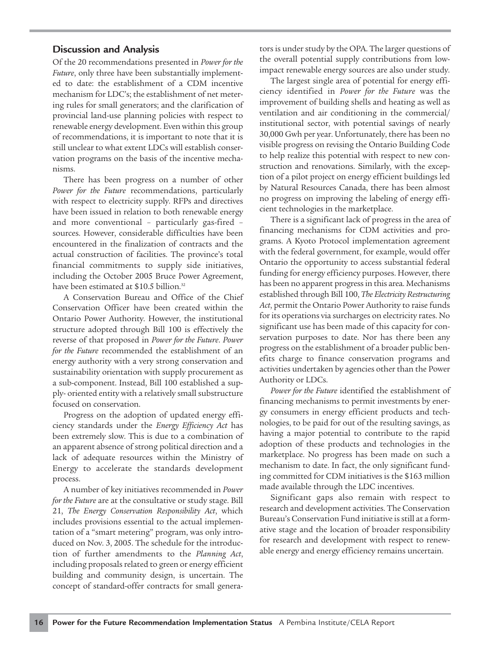### **Discussion and Analysis**

Of the 20 recommendations presented in *Power for the Future*, only three have been substantially implemented to date: the establishment of a CDM incentive mechanism for LDC's; the establishment of net metering rules for small generators; and the clarification of provincial land-use planning policies with respect to renewable energy development. Even within this group of recommendations, it is important to note that it is still unclear to what extent LDCs will establish conservation programs on the basis of the incentive mechanisms.

There has been progress on a number of other *Power for the Future* recommendations, particularly with respect to electricity supply. RFPs and directives have been issued in relation to both renewable energy and more conventional – particularly gas-fired – sources. However, considerable difficulties have been encountered in the finalization of contracts and the actual construction of facilities. The province's total financial commitments to supply side initiatives, including the October 2005 Bruce Power Agreement, have been estimated at \$10.5 billion.<sup>32</sup>

A Conservation Bureau and Office of the Chief Conservation Officer have been created within the Ontario Power Authority. However, the institutional structure adopted through Bill 100 is effectively the reverse of that proposed in *Power for the Future*. *Power for the Future* recommended the establishment of an energy authority with a very strong conservation and sustainability orientation with supply procurement as a sub-component. Instead, Bill 100 established a supply- oriented entity with a relatively small substructure focused on conservation.

Progress on the adoption of updated energy efficiency standards under the *Energy Efficiency Act* has been extremely slow. This is due to a combination of an apparent absence of strong political direction and a lack of adequate resources within the Ministry of Energy to accelerate the standards development process.

A number of key initiatives recommended in *Power for the Future* are at the consultative or study stage. Bill 21, *The Energy Conservation Responsibility Act*, which includes provisions essential to the actual implementation of a "smart metering" program, was only introduced on Nov. 3, 2005. The schedule for the introduction of further amendments to the *Planning Act*, including proposals related to green or energy efficient building and community design, is uncertain. The concept of standard-offer contracts for small generators is under study by the OPA. The larger questions of the overall potential supply contributions from lowimpact renewable energy sources are also under study.

The largest single area of potential for energy efficiency identified in *Power for the Future* was the improvement of building shells and heating as well as ventilation and air conditioning in the commercial/ institutional sector, with potential savings of nearly 30,000 Gwh per year. Unfortunately, there has been no visible progress on revising the Ontario Building Code to help realize this potential with respect to new construction and renovations. Similarly, with the exception of a pilot project on energy efficient buildings led by Natural Resources Canada, there has been almost no progress on improving the labeling of energy efficient technologies in the marketplace.

There is a significant lack of progress in the area of financing mechanisms for CDM activities and programs. A Kyoto Protocol implementation agreement with the federal government, for example, would offer Ontario the opportunity to access substantial federal funding for energy efficiency purposes. However, there has been no apparent progress in this area. Mechanisms established through Bill 100, *The Electricity Restructuring Act*, permit the Ontario Power Authority to raise funds for its operations via surcharges on electricity rates. No significant use has been made of this capacity for conservation purposes to date. Nor has there been any progress on the establishment of a broader public benefits charge to finance conservation programs and activities undertaken by agencies other than the Power Authority or LDCs.

*Power for the Future* identified the establishment of financing mechanisms to permit investments by energy consumers in energy efficient products and technologies, to be paid for out of the resulting savings, as having a major potential to contribute to the rapid adoption of these products and technologies in the marketplace. No progress has been made on such a mechanism to date. In fact, the only significant funding committed for CDM initiatives is the \$163 million made available through the LDC incentives.

Significant gaps also remain with respect to research and development activities. The Conservation Bureau's Conservation Fund initiative is still at a formative stage and the location of broader responsibility for research and development with respect to renewable energy and energy efficiency remains uncertain.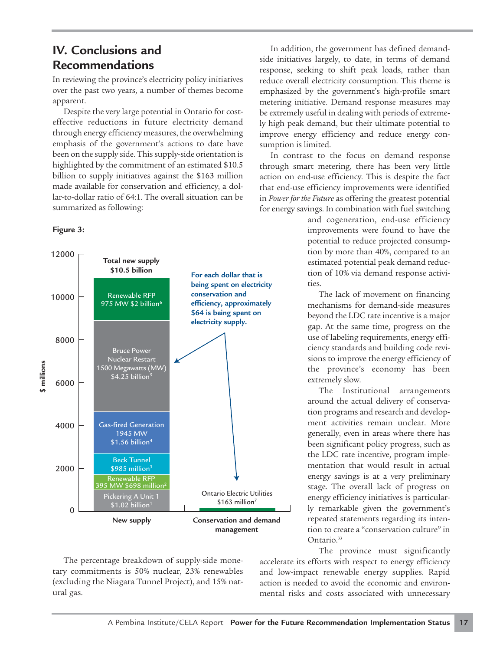### **IV. Conclusions and Recommendations**

In reviewing the province's electricity policy initiatives over the past two years, a number of themes become apparent.

Despite the very large potential in Ontario for costeffective reductions in future electricity demand through energy efficiency measures, the overwhelming emphasis of the government's actions to date have been on the supply side. This supply-side orientation is highlighted by the commitment of an estimated \$10.5 billion to supply initiatives against the \$163 million made available for conservation and efficiency, a dollar-to-dollar ratio of 64:1. The overall situation can be summarized as following:

### **Figure 3:**



The percentage breakdown of supply-side monetary commitments is 50% nuclear, 23% renewables (excluding the Niagara Tunnel Project), and 15% natural gas.

In addition, the government has defined demandside initiatives largely, to date, in terms of demand response, seeking to shift peak loads, rather than reduce overall electricity consumption. This theme is emphasized by the government's high-profile smart metering initiative. Demand response measures may be extremely useful in dealing with periods of extremely high peak demand, but their ultimate potential to improve energy efficiency and reduce energy consumption is limited.

In contrast to the focus on demand response through smart metering, there has been very little action on end-use efficiency. This is despite the fact that end-use efficiency improvements were identified in *Power for the Future* as offering the greatest potential for energy savings. In combination with fuel switching

> and cogeneration, end-use efficiency improvements were found to have the potential to reduce projected consumption by more than 40%, compared to an estimated potential peak demand reduction of 10% via demand response activities.

> The lack of movement on financing mechanisms for demand-side measures beyond the LDC rate incentive is a major gap. At the same time, progress on the use of labeling requirements, energy efficiency standards and building code revisions to improve the energy efficiency of the province's economy has been extremely slow.

> The Institutional arrangements around the actual delivery of conservation programs and research and development activities remain unclear. More generally, even in areas where there has been significant policy progress, such as the LDC rate incentive, program implementation that would result in actual energy savings is at a very preliminary stage. The overall lack of progress on energy efficiency initiatives is particularly remarkable given the government's repeated statements regarding its intention to create a "conservation culture" in Ontario.<sup>33</sup>

The province must significantly accelerate its efforts with respect to energy efficiency and low-impact renewable energy supplies. Rapid action is needed to avoid the economic and environmental risks and costs associated with unnecessary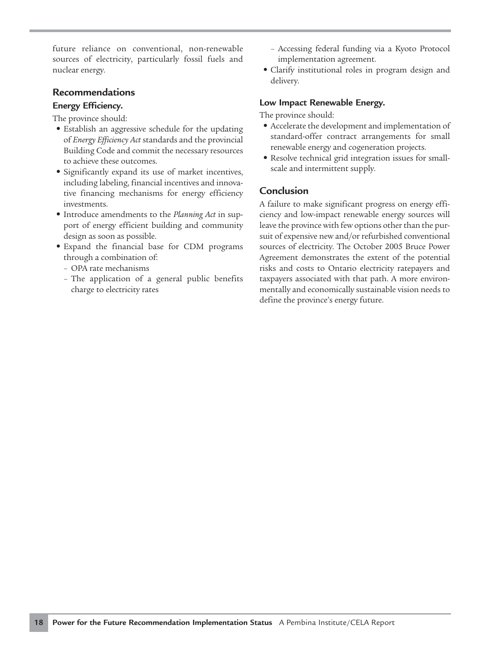future reliance on conventional, non-renewable sources of electricity, particularly fossil fuels and nuclear energy.

### **Recommendations**

### **Energy Efficiency.**

The province should:

- **•** Establish an aggressive schedule for the updating of *Energy Efficiency Act* standards and the provincial Building Code and commit the necessary resources to achieve these outcomes.
- **•** Significantly expand its use of market incentives, including labeling, financial incentives and innovative financing mechanisms for energy efficiency investments.
- **•** Introduce amendments to the *Planning Act* in support of energy efficient building and community design as soon as possible.
- **•** Expand the financial base for CDM programs through a combination of:
	- OPA rate mechanisms
	- The application of a general public benefits charge to electricity rates
- Accessing federal funding via a Kyoto Protocol implementation agreement.
- **•** Clarify institutional roles in program design and delivery.

### **Low Impact Renewable Energy.**

The province should:

- **•** Accelerate the development and implementation of standard-offer contract arrangements for small renewable energy and cogeneration projects.
- **•** Resolve technical grid integration issues for smallscale and intermittent supply.

### **Conclusion**

A failure to make significant progress on energy efficiency and low-impact renewable energy sources will leave the province with few options other than the pursuit of expensive new and/or refurbished conventional sources of electricity. The October 2005 Bruce Power Agreement demonstrates the extent of the potential risks and costs to Ontario electricity ratepayers and taxpayers associated with that path. A more environmentally and economically sustainable vision needs to define the province's energy future.